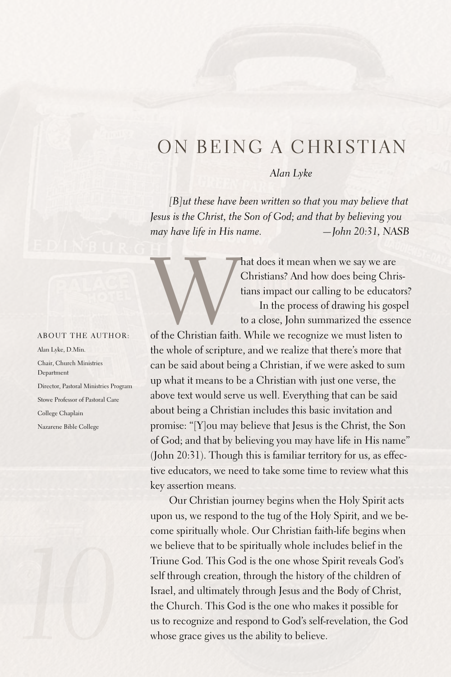## ON BEING A CHRISTIAN

*Alan Lyke*

Christians? And how does being Christians impact our calling to be educators? In the process of drawing his gospel

*[B]ut these have been written so that you may believe that Jesus is the Christ, the Son of God; and that by believing you may have life in His name. —John 20:31, NASB*

About the author:

Alan Lyke, D.Min. Chair, Church Ministries Department Director, Pastoral Ministries Program Stowe Professor of Pastoral Care College Chaplain Nazarene Bible College



Mat does it mean when we say we are<br>
Christians? And how does being Chris-<br>
tians impact our calling to be educator.<br>
In the process of drawing his gospe<br>
to a close, John summarized the essence<br>
of the Christian faith. Wh to a close, John summarized the essence the whole of scripture, and we realize that there's more that can be said about being a Christian, if we were asked to sum up what it means to be a Christian with just one verse, the above text would serve us well. Everything that can be said about being a Christian includes this basic invitation and promise: "[Y]ou may believe that Jesus is the Christ, the Son of God; and that by believing you may have life in His name" (John 20:31). Though this is familiar territory for us, as effective educators, we need to take some time to review what this key assertion means.

Our Christian journey begins when the Holy Spirit acts upon us, we respond to the tug of the Holy Spirit, and we become spiritually whole. Our Christian faith-life begins when we believe that to be spiritually whole includes belief in the Triune God. This God is the one whose Spirit reveals God's self through creation, through the history of the children of Israel, and ultimately through Jesus and the Body of Christ, the Church. This God is the one who makes it possible for us to recognize and respond to God's self-revelation, the God whose grace gives us the ability to believe.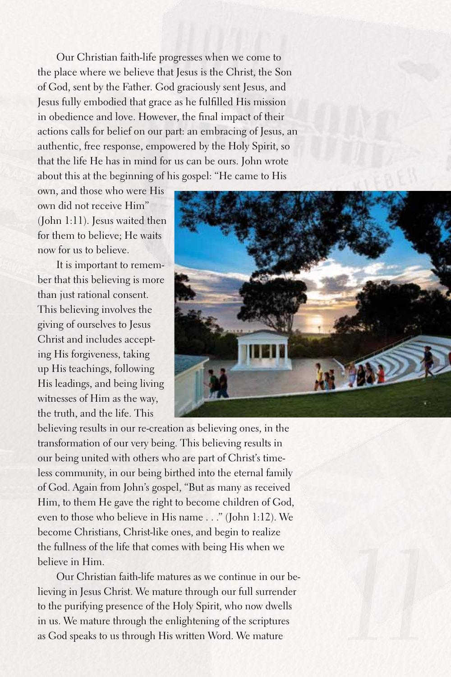Our Christian faith-life progresses when we come to the place where we believe that Jesus is the Christ, the Son of God, sent by the Father. God graciously sent Jesus, and Jesus fully embodied that grace as he fulfilled His mission in obedience and love. However, the final impact of their actions calls for belief on our part: an embracing of Jesus, an authentic, free response, empowered by the Holy Spirit, so that the life He has in mind for us can be ours. John wrote about this at the beginning of his gospel: "He came to His

own, and those who were His own did not receive Him" (John 1:11). Jesus waited then for them to believe; He waits now for us to believe.

It is important to remember that this believing is more than just rational consent. This believing involves the giving of ourselves to Jesus Christ and includes accepting His forgiveness, taking up His teachings, following His leadings, and being living witnesses of Him as the way, the truth, and the life. This



believing results in our re-creation as believing ones, in the transformation of our very being. This believing results in our being united with others who are part of Christ's timeless community, in our being birthed into the eternal family of God.Again from John's gospel, "But as many as received Him, to them He gave the right to become children of God, even to those who believe in His name ..." (John 1:12). We become Christians, Christ-like ones, and begin to realize the fullness of the life that comes with being His when we believe in Him.

Our Christian faith-life matures as we continue in our believing in Jesus Christ. We mature through our full surrender to the purifying presence of the Holy Spirit, who now dwells in us. We mature through the enlightening of the scriptures as God speaks to us through His written Word. We mature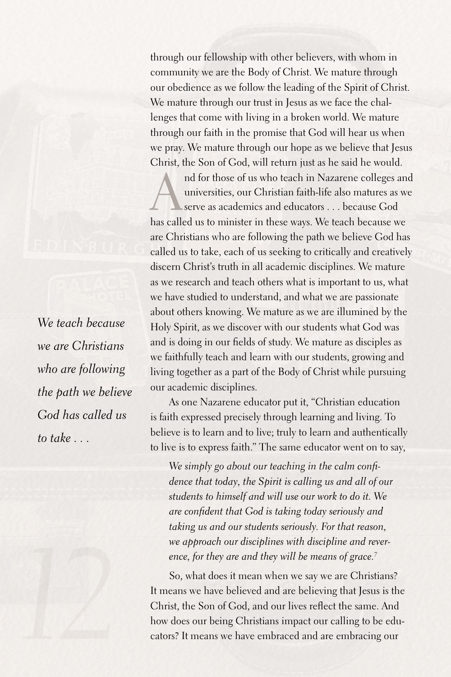through our fellowship with other believers, with whom in community we are the Body of Christ. We mature through our obedience as we follow the leading of the Spirit of Christ. We mature through our trust in Jesus as we face the challenges that come with living in a broken world. We mature through our faith in the promise that God will hear us when we pray. We mature through our hope as we believe that Jesus Christ, the Son of God, will return just as he said he would.

nd for those of us who teach in Nazarene colleges and<br>universities, our Christian faith-life also matures as we<br>serve as academics and educators . . . because God<br>has called us to minister in those ways. We teach because w universities, our Christian faith-life also matures as we serve as academics and educators ... because God has called us to minister in these ways. We teach because we are Christians who are following the path we believe God has called us to take, each of us seeking to critically and creatively discern Christ's truth in all academic disciplines. We mature as we research and teach others what is important to us, what we have studied to understand, and what we are passionate about others knowing. We mature as we are illumined by the Holy Spirit, as we discover with our students what God was and is doing in our fields of study. We mature as disciples as we faithfully teach and learn with our students, growing and living together as a part of the Body of Christ while pursuing our academic disciplines.

As one Nazarene educator put it, "Christian education is faith expressed precisely through learning and living. To believe is to learn and to live; truly to learn and authentically to live is to express faith." The same educator went on to say,

*We simply go about our teaching in the calm confidence that today, the Spirit is calling us and all of our students to himself and will use our work to do it. We are confident that God is taking today seriously and taking us and our students seriously. For that reason, we approach our disciplines with discipline and reverence, for they are and they will be means of grace.7*

So, what does it mean when we say we are Christians? It means we have believed and are believing that Jesus is the Christ, the Son of God, and our lives reflect the same. And how does our being Christians impact our calling to be educators? It means we have embraced and are embracing our

*We teach because we are Christians who are following the path we believe God has called us to take . . .*